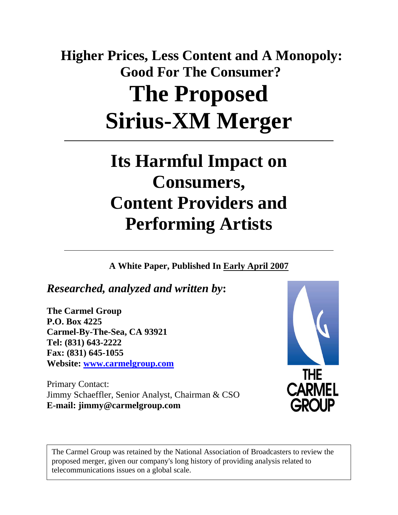# **Higher Prices, Less Content and A Monopoly: Good For The Consumer? The Proposed Sirius-XM Merger**

## **Its Harmful Impact on Consumers, Content Providers and Performing Artists**

**A White Paper, Published In Early April 2007**

*Researched, analyzed and written by***:** 

**The Carmel Group P.O. Box 4225 Carmel-By-The-Sea, CA 93921 Tel: (831) 643-2222 Fax: (831) 645-1055 Website: [www.carmelgroup.com](http://www.carmelgroup.com/)** 

Primary Contact: Jimmy Schaeffler, Senior Analyst, Chairman & CSO **E-mail: jimmy@carmelgroup.com** 



The Carmel Group was retained by the National Association of Broadcasters to review the proposed merger, given our company's long history of providing analysis related to telecommunications issues on a global scale.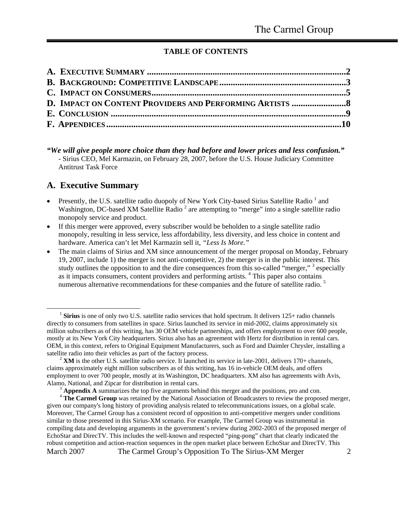#### **TABLE OF CONTENTS**

<span id="page-1-4"></span><span id="page-1-3"></span>

#### **A. Executive Summary**

- Presently, the U.S. satellite radio duopoly of New York City-based Sirius Satellite Radio  $^1$  and Washington, DC-based XM Satellite Radio<sup>[2](#page-1-1)</sup> are attempting to "merge" into a single satellite radio monopoly service and product.
- If this merger were approved, every subscriber would be beholden to a single satellite radio monopoly, resulting in less service, less affordability, less diversity, and less choice in content and hardware. America can't let Mel Karmazin sell it, *"Less Is More."*
- The main claims of Sirius and XM since announcement of the merger proposal on Monday, February 19, 2007, include 1) the merger is not anti-competitive, 2) the merger is in the public interest. This study outlines the opposition to and the dire consequences from this so-called "merger," <sup>[3](#page-1-2)</sup> especially as it impacts consumers, content providers and performing artists.<sup>4</sup> This paper also contains numerous alternative recommendations for these companies and the future of satellite radio.<sup>[5](#page-1-1)</sup>

*<sup>&</sup>quot;We will give people more choice than they had before and lower prices and less confusion."*  - Sirius CEO, Mel Karmazin, on February 28, 2007, before the U.S. House Judiciary Committee Antitrust Task Force

<span id="page-1-0"></span><sup>&</sup>lt;sup>1</sup> Sirius is one of only two U.S. satellite radio services that hold spectrum. It delivers 125+ radio channels directly to consumers from satellites in space. Sirius launched its service in mid-2002, claims approximately six million subscribers as of this writing, has 30 OEM vehicle partnerships, and offers employment to over 600 people, mostly at its New York City headquarters. Sirius also has an agreement with Hertz for distribution in rental cars. OEM, in this context, refers to Original Equipment Manufacturers, such as Ford and Daimler Chrysler, installing a satellite radio into their vehicles as part of the factory process.

<span id="page-1-1"></span><sup>&</sup>lt;sup>2</sup> XM is the other U.S. satellite radio service. It launched its service in late-2001, delivers 170+ channels, claims approximately eight million subscribers as of this writing, has 16 in-vehicle OEM deals, and offers employment to over 700 people, mostly at its Washington, DC headquarters. XM also has agreements with Avis, Alamo, National, and Zipcar for distribution in rental cars.

<sup>&</sup>lt;sup>3</sup> **Appendix A** summarizes the top five arguments behind this merger and the positions, pro and con.

<span id="page-1-2"></span>March 2007 The Carmel Group's Opposition To The Sirius-XM Merger 2 <sup>4</sup> The Carmel Group was retained by the National Association of Broadcasters to review the proposed merger, given our company's long history of providing analysis related to telecommunications issues, on a global scale. Moreover, The Carmel Group has a consistent record of opposition to anti-competitive mergers under conditions similar to those presented in this Sirius-XM scenario. For example, The Carmel Group was instrumental in compiling data and developing arguments in the government's review during 2002-2003 of the proposed merger of EchoStar and DirecTV. This includes the well-known and respected "ping-pong" chart that clearly indicated the robust competition and action-reaction sequences in the open market place between EchoStar and DirecTV. This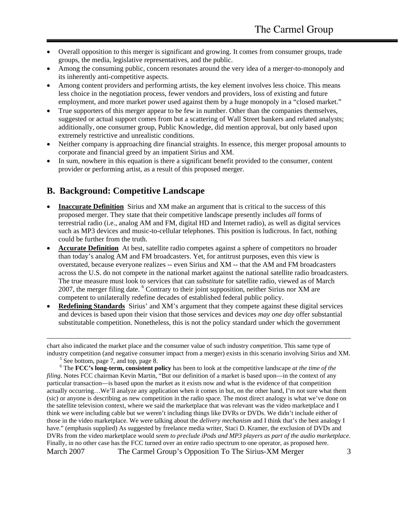- <span id="page-2-0"></span>• Overall opposition to this merger is significant and growing. It comes from consumer groups, trade groups, the media, legislative representatives, and the public.
- Among the consuming public, concern resonates around the very idea of a merger-to-monopoly and its inherently anti-competitive aspects.
- Among content providers and performing artists, the key element involves less choice. This means less choice in the negotiation process, fewer vendors and providers, loss of existing and future employment, and more market power used against them by a huge monopoly in a "closed market."
- True supporters of this merger appear to be few in number. Other than the companies themselves, suggested or actual support comes from but a scattering of Wall Street bankers and related analysts; additionally, one consumer group, Public Knowledge, did mention approval, but only based upon extremely restrictive and unrealistic conditions.
- Neither company is approaching dire financial straights. In essence, this merger proposal amounts to corporate and financial greed by an impatient Sirius and XM.
- In sum, nowhere in this equation is there a significant benefit provided to the consumer, content provider or performing artist, as a result of this proposed merger.

#### **B. Background: Competitive Landscape**

- **Inaccurate Definition** Sirius and XM make an argument that is critical to the success of this proposed merger. They state that their competitive landscape presently includes *all* forms of terrestrial radio (i.e., analog AM and FM, digital HD and Internet radio), as well as digital services such as MP3 devices and music-to-cellular telephones. This position is ludicrous. In fact, nothing could be further from the truth.
- **Accurate Definition** At best, satellite radio competes against a sphere of competitors no broader than today's analog AM and FM broadcasters. Yet, for antitrust purposes, even this view is overstated, because everyone realizes -- even Sirius and XM -- that the AM and FM broadcasters across the U.S. do not compete in the national market against the national satellite radio broadcasters. The true measure must look to services that can *substitute* for satellite radio, viewed as of March 2007, the merger filing date. <sup>[6](#page-2-1)</sup> Contrary to their joint supposition, neither Sirius nor XM are competent to unilaterally redefine decades of established federal public policy.
- **Redefining Standards** Sirius' and XM's argument that they compete against these digital services and devices is based upon their vision that those services and devices *may one day* offer substantial substitutable competition. Nonetheless, this is not the policy standard under which the government

<sup>5</sup> See bottom, page 7, and top, page 8.

<span id="page-2-1"></span>March 2007 The Carmel Group's Opposition To The Sirius-XM Merger 3 <sup>6</sup> The **FCC's long-term, consistent policy** has been to look at the competitive landscape *at the time of the filing*. Notes FCC chairman Kevin Martin, "But our definition of a market is based upon—in the context of any particular transaction—is based upon the market as it exists now and what is the evidence of that competition actually occurring…We'll analyze any application when it comes in but, on the other hand, I'm not sure what them (sic) or anyone is describing as new competition in the radio space. The most direct analogy is what we've done on the satellite television context, where we said the marketplace that was relevant was the video marketplace and I think we were including cable but we weren't including things like DVRs or DVDs. We didn't include either of those in the video marketplace. We were talking about the *delivery mechanism* and I think that's the best analogy I have." (emphasis supplied) As suggested by freelance media writer, Staci D. Kramer, the exclusion of DVDs and DVRs from the video marketplace would *seem to preclude iPods and MP3 players as part of the audio marketplace*. Finally, in no other case has the FCC turned over an entire radio spectrum to one operator, as proposed here.

chart also indicated the market place and the consumer value of such industry *competition*. This same type of industry competition (and negative consumer impact from a merger) exists in this scenario involving Sirius and XM.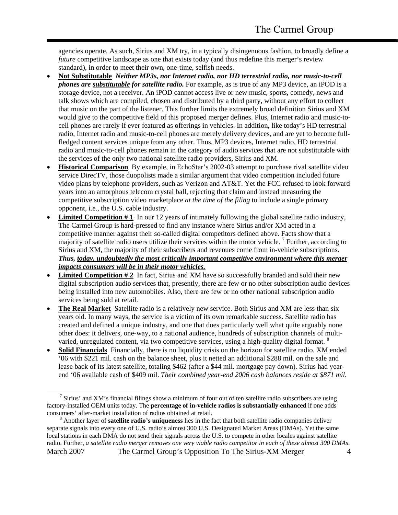agencies operate. As such, Sirius and XM try, in a typically disingenuous fashion, to broadly define a *future* competitive landscape as one that exists today (and thus redefine this merger's review standard), in order to meet their own, one-time, selfish needs.

- **Not Substitutable** *Neither MP3s, nor Internet radio, nor HD terrestrial radio, nor music-to-cell phones are substitutable for satellite radio.* For example, as is true of any MP3 device, an iPOD is a storage device, not a receiver. An iPOD cannot access live or new music, sports, comedy, news and talk shows which are compiled, chosen and distributed by a third party, without any effort to collect that music on the part of the listener. This further limits the extremely broad definition Sirius and XM would give to the competitive field of this proposed merger defines. Plus, Internet radio and music-tocell phones are rarely if ever featured as offerings in vehicles. In addition, like today's HD terrestrial radio, Internet radio and music-to-cell phones are merely delivery devices, and are yet to become fullfledged content services unique from any other. Thus, MP3 devices, Internet radio, HD terrestrial radio and music-to-cell phones remain in the category of audio services that are not substitutable with the services of the only two national satellite radio providers, Sirius and XM.
- **Historical Comparison** By example, in EchoStar's 2002-03 attempt to purchase rival satellite video service DirecTV, those duopolists made a similar argument that video competition included future video plans by telephone providers, such as Verizon and AT&T. Yet the FCC refused to look forward years into an amorphous telecom crystal ball, rejecting that claim and instead measuring the competitive subscription video marketplace *at the time of the filing* to include a single primary opponent, i.e., the U.S. cable industry.
- **Limited Competition # 1** In our 12 years of intimately following the global satellite radio industry, The Carmel Group is hard-pressed to find any instance where Sirius and/or XM acted in a competitive manner against their so-called digital competitors defined above. Facts show that a majority of satellite radio users utilize their services within the motor vehicle.  $\frac{7}{1}$  $\frac{7}{1}$  $\frac{7}{1}$  Further, according to Sirius and XM, the majority of their subscribers and revenues come from in-vehicle subscriptions. *Thus, today, undoubtedly the most critically important competitive environment where this merger impacts consumers will be in their motor vehicles.*
- **Limited Competition #2** In fact, Sirius and XM have so successfully branded and sold their new digital subscription audio services that, presently, there are few or no other subscription audio devices being installed into new automobiles. Also, there are few or no other national subscription audio services being sold at retail.
- **The Real Market** Satellite radio is a relatively new service. Both Sirius and XM are less than six years old. In many ways, the service is a victim of its own remarkable success. Satellite radio has created and defined a unique industry, and one that does particularly well what quite arguably none other does: it delivers, one-way, to a national audience, hundreds of subscription channels of multi-varied, unregulated content, via two competitive services, using a high-quality digital format. <sup>[8](#page-3-1)</sup>
- **Solid Financials** Financially, there is no liquidity crisis on the horizon for satellite radio. XM ended '06 with \$221 mil. cash on the balance sheet, plus it netted an additional \$288 mil. on the sale and lease back of its latest satellite, totaling \$462 (after a \$44 mil. mortgage pay down). Sirius had yearend '06 available cash of \$409 mil. *Their combined year-end 2006 cash balances reside at \$871 mil.*

<span id="page-3-0"></span> $\overline{a}$  $\frac{7}{1}$  Sirius' and XM's financial filings show a minimum of four out of ten satellite radio subscribers are using factory-installed OEM units today. The **percentage of in-vehicle radios is substantially enhanced** if one adds consumers' after-market installation of radios obtained at retail.

<span id="page-3-1"></span>March 2007 The Carmel Group's Opposition To The Sirius-XM Merger 4 <sup>8</sup> Another layer of **satellite radio's uniqueness** lies in the fact that both satellite radio companies deliver separate signals into every one of U.S. radio's almost 300 U.S. Designated Market Areas (DMAs). Yet the same local stations in each DMA do not send their signals across the U.S. to compete in other locales against satellite radio. Further, *a satellite radio merger removes one very viable radio competitor in each of these almost 300 DMAs*.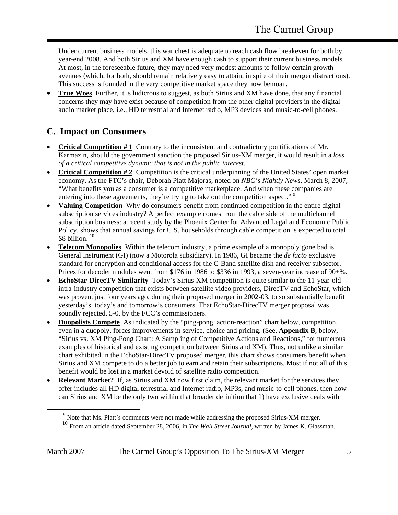<span id="page-4-0"></span>Under current business models, this war chest is adequate to reach cash flow breakeven for both by year-end 2008. And both Sirius and XM have enough cash to support their current business models. At most, in the foreseeable future, they may need very modest amounts to follow certain growth avenues (which, for both, should remain relatively easy to attain, in spite of their merger distractions). This success is founded in the very competitive market space they now bemoan.

• **True Woes** Further, it is ludicrous to suggest, as both Sirius and XM have done, that any financial concerns they may have exist because of competition from the other digital providers in the digital audio market place, i.e., HD terrestrial and Internet radio, MP3 devices and music-to-cell phones.

#### **C. Impact on Consumers**

- **Critical Competition # 1** Contrary to the inconsistent and contradictory pontifications of Mr. Karmazin, should the government sanction the proposed Sirius-XM merger, it would result in a *loss of a critical competitive dynamic that is not in the public interest.*
- **Critical Competition # 2** Competition is the critical underpinning of the United States' open market economy. As the FTC's chair, Deborah Platt Majoras, noted on *NBC's Nightly News*, March 8, 2007, "What benefits you as a consumer is a competitive marketplace. And when these companies are entering into these agreements, they're trying to take out the competition aspect."<sup>[9](#page-4-1)</sup>
- **Valuing Competition** Why do consumers benefit from continued competition in the entire digital subscription services industry? A perfect example comes from the cable side of the multichannel subscription business: a recent study by the Phoenix Center for Advanced Legal and Economic Public Policy, shows that annual savings for U.S. households through cable competition is expected to total \$8 billion.<sup>10</sup>
- **Telecom Monopolies** Within the telecom industry, a prime example of a monopoly gone bad is General Instrument (GI) (now a Motorola subsidiary). In 1986, GI became the *de facto* exclusive standard for encryption and conditional access for the C-Band satellite dish and receiver subsector. Prices for decoder modules went from \$176 in 1986 to \$336 in 1993, a seven-year increase of 90+%.
- **EchoStar-DirecTV Similarity** Today's Sirius-XM competition is quite similar to the 11-year-old intra-industry competition that exists between satellite video providers, DirecTV and EchoStar, which was proven, just four years ago, during their proposed merger in 2002-03, to so substantially benefit yesterday's, today's and tomorrow's consumers. That EchoStar-DirecTV merger proposal was soundly rejected, 5-0, by the FCC's commissioners.
- **Duopolists Compete** As indicated by the "ping-pong, action-reaction" chart below, competition, even in a duopoly, forces improvements in service, choice and pricing. (See, **Appendix B**, below, "Sirius vs. XM Ping-Pong Chart: A Sampling of Competitive Actions and Reactions," for numerous examples of historical and existing competition between Sirius and XM). Thus, not unlike a similar chart exhibited in the EchoStar-DirecTV proposed merger, this chart shows consumers benefit when Sirius and XM compete to do a better job to earn and retain their subscriptions. Most if not all of this benefit would be lost in a market devoid of satellite radio competition.
- **Relevant Market?** If, as Sirius and XM now first claim, the relevant market for the services they offer includes all HD digital terrestrial and Internet radio, MP3s, and music-to-cell phones, then how can Sirius and XM be the only two within that broader definition that 1) have exclusive deals with

<span id="page-4-2"></span><span id="page-4-1"></span><sup>&</sup>lt;sup>9</sup> Note that Ms. Platt's comments were not made while addressing the proposed Sirius-XM merger.

<sup>10</sup> From an article dated September 28, 2006, in *The Wall Street Journal*, written by James K. Glassman.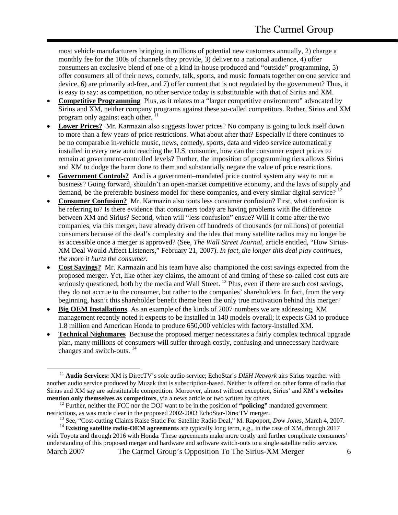most vehicle manufacturers bringing in millions of potential new customers annually, 2) charge a monthly fee for the 100s of channels they provide, 3) deliver to a national audience, 4) offer consumers an exclusive blend of one-of-a kind in-house produced and "outside" programming, 5) offer consumers all of their news, comedy, talk, sports, and music formats together on one service and device, 6) are primarily ad-free, and 7) offer content that is not regulated by the government? Thus, it is easy to say: as competition, no other service today is substitutable with that of Sirius and XM.

- **Competitive Programming** Plus, as it relates to a "larger competitive environment" advocated by Sirius and XM, neither company programs against these so-called competitors. Rather, Sirius and XM program only against each other.
- **Lower Prices?** Mr. Karmazin also suggests lower prices? No company is going to lock itself down to more than a few years of price restrictions. What about after that? Especially if there continues to be no comparable in-vehicle music, news, comedy, sports, data and video service automatically installed in every new auto reaching the U.S. consumer, how can the consumer expect prices to remain at government-controlled levels? Further, the imposition of programming tiers allows Sirius and XM to dodge the harm done to them and substantially negate the value of price restrictions.
- **Government Controls?** And is a government–mandated price control system any way to run a business? Going forward, shouldn't an open-market competitive economy, and the laws of supply and demand, be the preferable business model for these companies, and every similar digital service?  $12$
- **Consumer Confusion?** Mr. Karmazin also touts less consumer confusion? First, what confusion is he referring to? Is there evidence that consumers today are having problems with the difference between XM and Sirius? Second, when will "less confusion" ensue? Will it come after the two companies, via this merger, have already driven off hundreds of thousands (or millions) of potential consumers because of the deal's complexity and the idea that many satellite radios may no longer be as accessible once a merger is approved? (See, *The Wall Street Journal*, article entitled, "How Sirius-XM Deal Would Affect Listeners," February 21, 2007). *In fact, the longer this deal play continues, the more it hurts the consumer.*
- **Cost Savings?** Mr. Karmazin and his team have also championed the cost savings expected from the proposed merger. Yet, like other key claims, the amount of and timing of these so-called cost cuts are seriously questioned, both by the media and Wall Street.  $^{13}$  Plus, even if there are such cost savings, they do not accrue to the consumer, but rather to the companies' shareholders. In fact, from the very beginning, hasn't this shareholder benefit theme been the only true motivation behind this merger?
- **Big OEM Installations** As an example of the kinds of 2007 numbers we are addressing, XM management recently noted it expects to be installed in 140 models overall; it expects GM to produce 1.8 million and American Honda to produce 650,000 vehicles with factory-installed XM.
- **Technical Nightmares** Because the proposed merger necessitates a fairly complex technical upgrade plan, many millions of consumers will suffer through costly, confusing and unnecessary hardware changes and switch-outs. [14](#page-5-3)

<span id="page-5-0"></span><sup>11</sup> **Audio Services:** XM is DirecTV's sole audio service; EchoStar's *DISH Network* airs Sirius together with another audio service produced by Muzak that is subscription-based. Neither is offered on other forms of radio that Sirius and XM say are substitutable competition. Moreover, almost without exception, Sirius' and XM's **websites mention only themselves as competitors**, via a news article or two written by others.

<span id="page-5-1"></span><sup>&</sup>lt;sup>12</sup> Further, neither the FCC nor the DOJ want to be in the position of "policing" mandated government restrictions, as was made clear in the proposed 2002-2003 EchoStar-DirecTV merger.

<span id="page-5-2"></span>13 See, "Cost-cutting Claims Raise Static For Satellite Radio Deal," M. Rapoport, *Dow Jones*, March 4, 2007.

<span id="page-5-3"></span>March 2007 The Carmel Group's Opposition To The Sirius-XM Merger 6 <sup>14</sup> **Existing satellite radio-OEM agreements** are typically long term, e.g., in the case of XM, through 2017 with Toyota and through 2016 with Honda. These agreements make more costly and further complicate consumers' understanding of this proposed merger and hardware and software switch-outs to a single satellite radio service.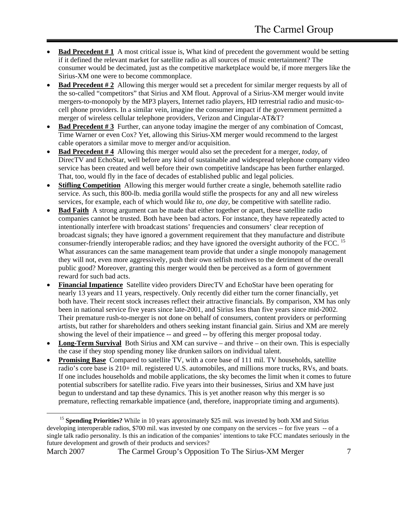- **Bad Precedent #1** A most critical issue is, What kind of precedent the government would be setting if it defined the relevant market for satellite radio as all sources of music entertainment? The consumer would be decimated, just as the competitive marketplace would be, if more mergers like the Sirius-XM one were to become commonplace.
- **Bad Precedent # 2** Allowing this merger would set a precedent for similar merger requests by all of the so-called "competitors" that Sirius and XM flout. Approval of a Sirius-XM merger would invite mergers-to-monopoly by the MP3 players, Internet radio players, HD terrestrial radio and music-tocell phone providers. In a similar vein, imagine the consumer impact if the government permitted a merger of wireless cellular telephone providers, Verizon and Cingular-AT&T?
- **Bad Precedent # 3** Further, can anyone today imagine the merger of any combination of Comcast, Time Warner or even Cox? Yet, allowing this Sirius-XM merger would recommend to the largest cable operators a similar move to merger and/or acquisition.
- **Bad Precedent # 4** Allowing this merger would also set the precedent for a merger, *today*, of DirecTV and EchoStar, well before any kind of sustainable and widespread telephone company video service has been created and well before their own competitive landscape has been further enlarged. That, too, would fly in the face of decades of established public and legal policies.
- **Stifling Competition** Allowing this merger would further create a single, behemoth satellite radio service. As such, this 800-lb. media gorilla would stifle the prospects for any and all new wireless services, for example, each of which would *like to, one day,* be competitive with satellite radio.
- **Bad Faith** A strong argument can be made that either together or apart, these satellite radio companies cannot be trusted. Both have been bad actors. For instance, they have repeatedly acted to intentionally interfere with broadcast stations' frequencies and consumers' clear reception of broadcast signals; they have ignored a government requirement that they manufacture and distribute consumer-friendly interoperable radios; and they have ignored the oversight authority of the FCC. <sup>15</sup> What assurances can the same management team provide that under a single monopoly management they will not, even more aggressively, push their own selfish motives to the detriment of the overall public good? Moreover, granting this merger would then be perceived as a form of government reward for such bad acts.
- **Financial Impatience** Satellite video providers DirecTV and EchoStar have been operating for nearly 13 years and 11 years, respectively. Only recently did either turn the corner financially, yet both have. Their recent stock increases reflect their attractive financials. By comparison, XM has only been in national service five years since late-2001, and Sirius less than five years since mid-2002. Their premature rush-to-merger is not done on behalf of consumers, content providers or performing artists, but rather for shareholders and others seeking instant financial gain. Sirius and XM are merely showing the level of their impatience -- and greed -- by offering this merger proposal today.
- **Long-Term Survival** Both Sirius and XM can survive and thrive on their own. This is especially the case if they stop spending money like drunken sailors on individual talent.
- **Promising Base** Compared to satellite TV, with a core base of 111 mil. TV households, satellite radio's core base is 210+ mil. registered U.S. automobiles, and millions more trucks, RVs, and boats. If one includes households and mobile applications, the sky becomes the limit when it comes to future potential subscribers for satellite radio. Five years into their businesses, Sirius and XM have just begun to understand and tap these dynamics. This is yet another reason why this merger is so premature, reflecting remarkable impatience (and, therefore, inappropriate timing and arguments).

<span id="page-6-0"></span><sup>&</sup>lt;sup>15</sup> **Spending Priorities?** While in 10 years approximately \$25 mil. was invested by both XM and Sirius developing interoperable radios, \$700 mil. was invested by one company on the services -- for five years -- of a single talk radio personality. Is this an indication of the companies' intentions to take FCC mandates seriously in the future development and growth of their products and services?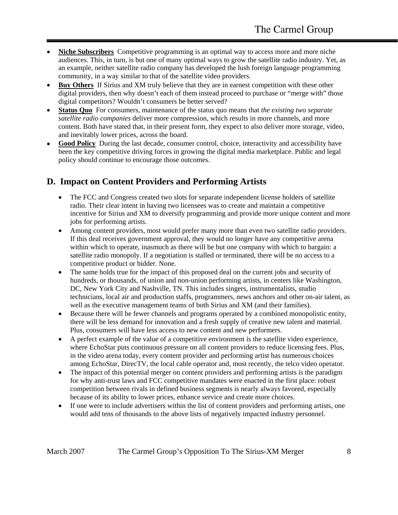- <span id="page-7-0"></span>• **Niche Subscribers** Competitive programming is an optimal way to access more and more niche audiences. This, in turn, is but one of many optimal ways to grow the satellite radio industry. Yet, as an example, neither satellite radio company has developed the lush foreign language programming community, in a way similar to that of the satellite video providers.
- **Buy Others** If Sirius and XM truly believe that they are in earnest competition with these other digital providers, then why doesn't each of them instead proceed to purchase or "merge with" those digital competitors? Wouldn't consumers be better served?
- **Status Quo** For consumers, maintenance of the status quo means that *the existing two separate satellite radio companies* deliver more compression, which results in more channels, and more content. Both have stated that, in their present form, they expect to also deliver more storage, video, and inevitably lower prices, across the board.
- **Good Policy** During the last decade, consumer control, choice, interactivity and accessibility have been the key competitive driving forces in growing the digital media marketplace. Public and legal policy should continue to encourage those outcomes.

#### **D. Impact on Content Providers and Performing Artists**

- The FCC and Congress created two slots for separate independent license holders of satellite radio. Their clear intent in having two licensees was to create and maintain a competitive incentive for Sirius and XM to diversify programming and provide more unique content and more jobs for performing artists.
- Among content providers, most would prefer many more than even two satellite radio providers. If this deal receives government approval, they would no longer have any competitive arena within which to operate, inasmuch as there will be but one company with which to bargain: a satellite radio monopoly. If a negotiation is stalled or terminated, there will be no access to a competitive product or bidder. None.
- The same holds true for the impact of this proposed deal on the current jobs and security of hundreds, or thousands, of union and non-union performing artists, in centers like Washington, DC, New York City and Nashville, TN. This includes singers, instrumentalists, studio technicians, local air and production staffs, programmers, news anchors and other on-air talent, as well as the executive management teams of both Sirius and XM (and their families).
- Because there will be fewer channels and programs operated by a combined monopolistic entity, there will be less demand for innovation and a fresh supply of creative new talent and material. Plus, consumers will have less access to new content and new performers.
- A perfect example of the value of a competitive environment is the satellite video experience, where EchoStar puts continuous pressure on all content providers to reduce licensing fees. Plus, in the video arena today, every content provider and performing artist has numerous choices among EchoStar, DirecTV, the local cable operator and, most recently, the telco video operator.
- The impact of this potential merger on content providers and performing artists is the paradigm for why anti-trust laws and FCC competitive mandates were enacted in the first place: robust competition between rivals in defined business segments is nearly always favored, especially because of its ability to lower prices, enhance service and create more choices.
- If one were to include advertisers within the list of content providers and performing artists, one would add tens of thousands to the above lists of negatively impacted industry personnel.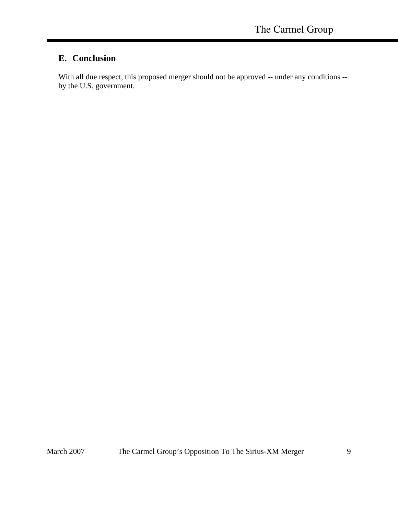#### <span id="page-8-0"></span>**E. Conclusion**

With all due respect, this proposed merger should not be approved -- under any conditions - by the U.S. government.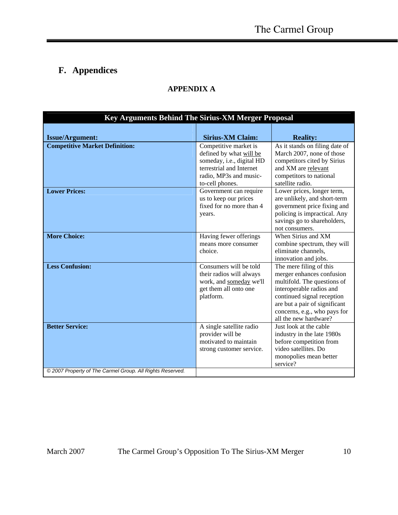### <span id="page-9-0"></span>**F. Appendices**

#### **APPENDIX A**

| Key Arguments Behind The Sirius-XM Merger Proposal        |                                                                                                                                                        |                                                                                                                                                                                                                                         |  |  |  |
|-----------------------------------------------------------|--------------------------------------------------------------------------------------------------------------------------------------------------------|-----------------------------------------------------------------------------------------------------------------------------------------------------------------------------------------------------------------------------------------|--|--|--|
|                                                           |                                                                                                                                                        |                                                                                                                                                                                                                                         |  |  |  |
| <b>Issue/Argument:</b>                                    | <b>Sirius-XM Claim:</b>                                                                                                                                | <b>Reality:</b>                                                                                                                                                                                                                         |  |  |  |
| <b>Competitive Market Definition:</b>                     | Competitive market is<br>defined by what will be<br>someday, i.e., digital HD<br>terrestrial and Internet<br>radio, MP3s and music-<br>to-cell phones. | As it stands on filing date of<br>March 2007, none of those<br>competitors cited by Sirius<br>and XM are relevant<br>competitors to national<br>satellite radio.                                                                        |  |  |  |
| <b>Lower Prices:</b>                                      | Government can require<br>us to keep our prices<br>fixed for no more than 4<br>vears.                                                                  | Lower prices, longer term,<br>are unlikely, and short-term<br>government price fixing and<br>policing is impractical. Any<br>savings go to shareholders,<br>not consumers.                                                              |  |  |  |
| <b>More Choice:</b>                                       | Having fewer offerings<br>means more consumer<br>choice.                                                                                               | When Sirius and XM<br>combine spectrum, they will<br>eliminate channels,<br>innovation and jobs.                                                                                                                                        |  |  |  |
| <b>Less Confusion:</b>                                    | Consumers will be told<br>their radios will always<br>work, and someday we'll<br>get them all onto one<br>platform.                                    | The mere filing of this<br>merger enhances confusion<br>multifold. The questions of<br>interoperable radios and<br>continued signal reception<br>are but a pair of significant<br>concerns, e.g., who pays for<br>all the new hardware? |  |  |  |
| <b>Better Service:</b>                                    | A single satellite radio<br>provider will be<br>motivated to maintain<br>strong customer service.                                                      | Just look at the cable<br>industry in the late 1980s<br>before competition from<br>video satellites. Do<br>monopolies mean better<br>service?                                                                                           |  |  |  |
| © 2007 Property of The Carmel Group. All Rights Reserved. |                                                                                                                                                        |                                                                                                                                                                                                                                         |  |  |  |